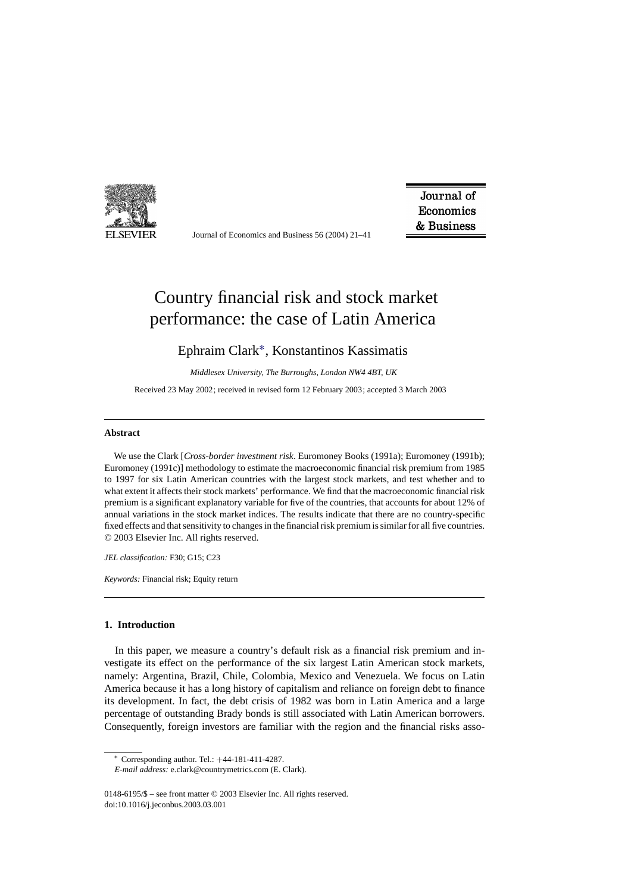

Journal of Economics and Business 56 (2004) 21–41

Journal of Economics & Business

## Country financial risk and stock market performance: the case of Latin America

### Ephraim Clark∗, Konstantinos Kassimatis

*Middlesex University, The Burroughs, London NW4 4BT, UK*

Received 23 May 2002; received in revised form 12 February 2003; accepted 3 March 2003

#### **Abstract**

We use the Clark [*Cross-border investment risk*. Euromoney Books (1991a); Euromoney (1991b); Euromoney (1991c)] methodology to estimate the macroeconomic financial risk premium from 1985 to 1997 for six Latin American countries with the largest stock markets, and test whether and to what extent it affects their stock markets' performance. We find that the macroeconomic financial risk premium is a significant explanatory variable for five of the countries, that accounts for about 12% of annual variations in the stock market indices. The results indicate that there are no country-specific fixed effects and that sensitivity to changes in the financial risk premium is similar for all five countries. © 2003 Elsevier Inc. All rights reserved.

*JEL classification:* F30; G15; C23

*Keywords:* Financial risk; Equity return

#### **1. Introduction**

In this paper, we measure a country's default risk as a financial risk premium and investigate its effect on the performance of the six largest Latin American stock markets, namely: Argentina, Brazil, Chile, Colombia, Mexico and Venezuela. We focus on Latin America because it has a long history of capitalism and reliance on foreign debt to finance its development. In fact, the debt crisis of 1982 was born in Latin America and a large percentage of outstanding Brady bonds is still associated with Latin American borrowers. Consequently, foreign investors are familiar with the region and the financial risks asso-

<sup>∗</sup> Corresponding author. Tel.: +44-181-411-4287.

*E-mail address:* e.clark@countrymetrics.com (E. Clark).

<sup>0148-6195/\$ –</sup> see front matter © 2003 Elsevier Inc. All rights reserved. doi:10.1016/j.jeconbus.2003.03.001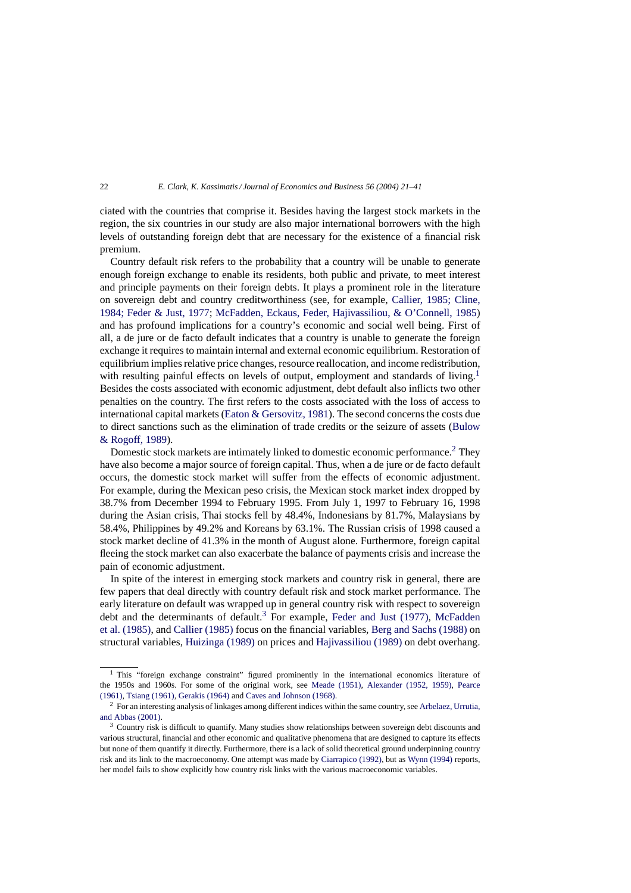ciated with the countries that comprise it. Besides having the largest stock markets in the region, the six countries in our study are also major international borrowers with the high levels of outstanding foreign debt that are necessary for the existence of a financial risk premium.

Country default risk refers to the probability that a country will be unable to generate enough foreign exchange to enable its residents, both public and private, to meet interest and principle payments on their foreign debts. It plays a prominent role in the literature on sovereign debt and country creditworthiness (see, for example, [Callier, 1985; Cline,](#page--1-0) [1984; Feder & Just, 1977;](#page--1-0) [McFadden, Eckaus, Feder, Hajivassiliou, & O'Connell, 1985\)](#page--1-0) and has profound implications for a country's economic and social well being. First of all, a de jure or de facto default indicates that a country is unable to generate the foreign exchange it requires to maintain internal and external economic equilibrium. Restoration of equilibrium implies relative price changes, resource reallocation, and income redistribution, with resulting painful effects on levels of output, employment and standards of living.<sup>1</sup> Besides the costs associated with economic adjustment, debt default also inflicts two other penalties on the country. The first refers to the costs associated with the loss of access to international capital markets ([Eaton & Gersovitz, 1981\).](#page--1-0) The second concerns the costs due to direct sanctions such as the elimination of trade credits or the seizure of assets ([Bulow](#page--1-0) [& Rogoff, 1989\).](#page--1-0)

Domestic stock markets are intimately linked to domestic economic performance.<sup>2</sup> They have also become a major source of foreign capital. Thus, when a de jure or de facto default occurs, the domestic stock market will suffer from the effects of economic adjustment. For example, during the Mexican peso crisis, the Mexican stock market index dropped by 38.7% from December 1994 to February 1995. From July 1, 1997 to February 16, 1998 during the Asian crisis, Thai stocks fell by 48.4%, Indonesians by 81.7%, Malaysians by 58.4%, Philippines by 49.2% and Koreans by 63.1%. The Russian crisis of 1998 caused a stock market decline of 41.3% in the month of August alone. Furthermore, foreign capital fleeing the stock market can also exacerbate the balance of payments crisis and increase the pain of economic adjustment.

In spite of the interest in emerging stock markets and country risk in general, there are few papers that deal directly with country default risk and stock market performance. The early literature on default was wrapped up in general country risk with respect to sovereign debt and the determinants of default.<sup>3</sup> For example, [Feder and Just \(1977\),](#page--1-0) [McFadden](#page--1-0) [et al. \(1985\), a](#page--1-0)nd [Callier \(1985\)](#page--1-0) focus on the financial variables, [Berg and Sachs \(1988\)](#page--1-0) on structural variables, [Huizinga \(1989\)](#page--1-0) on prices and [Hajivassiliou \(1989\)](#page--1-0) on debt overhang.

<sup>&</sup>lt;sup>1</sup> This "foreign exchange constraint" figured prominently in the international economics literature of the 1950s and 1960s. For some of the original work, see [Meade \(1951\),](#page--1-0) [Alexander \(1952, 1959\),](#page--1-0) [Pearce](#page--1-0) [\(1961\),](#page--1-0) [Tsiang \(1961\),](#page--1-0) [Gerakis \(1964\)](#page--1-0) and [Caves and Johnson \(1968\).](#page--1-0)

 $2$  For an interesting analysis of linkages among different indices within the same country, see [Arbelaez, Urrutia,](#page--1-0) [and Abbas \(2001\).](#page--1-0)

<sup>&</sup>lt;sup>3</sup> Country risk is difficult to quantify. Many studies show relationships between sovereign debt discounts and various structural, financial and other economic and qualitative phenomena that are designed to capture its effects but none of them quantify it directly. Furthermore, there is a lack of solid theoretical ground underpinning country risk and its link to the macroeconomy. One attempt was made by [Ciarrapico \(1992\), b](#page--1-0)ut as [Wynn \(1994\)](#page--1-0) reports, her model fails to show explicitly how country risk links with the various macroeconomic variables.